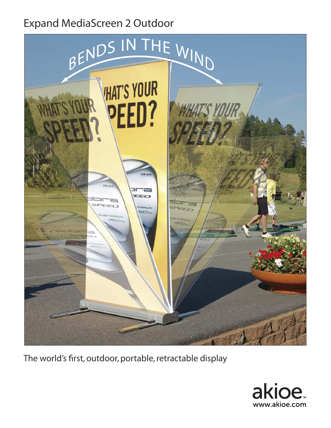## Expand MediaScreen 2 Outdoor



The world's first, outdoor, portable, retractable display